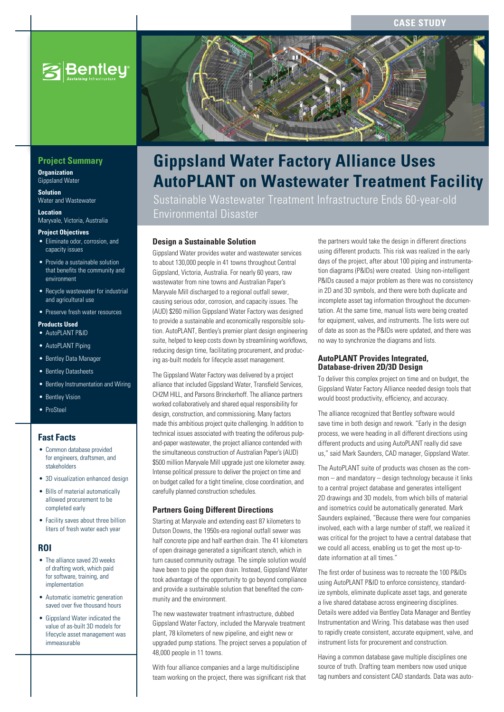

# **Project Summary**

**Organization** Gippsland Water

**Solution** Water and Wastewater

**Location** Maryvale, Victoria, Australia

#### **Project Objectives**

- • Eliminate odor, corrosion, and capacity issues
- Provide a sustainable solution that benefits the community and environment
- Recycle wastewater for industrial and agricultural use
- Preserve fresh water resources
- **Products Used**
- • AutoPLANT P&ID
- AutoPLANT Piping
- Bentley Data Manager
- Bentley Datasheets
- Bentley Instrumentation and Wiring
- Bentley Vision
- ProSteel

# **Fast Facts**

- • Common database provided for engineers, draftsmen, and stakeholders
- 3D visualization enhanced design
- Bills of material automatically allowed procurement to be completed early
- Facility saves about three billion liters of fresh water each year

# **ROI**

- The alliance saved 20 weeks of drafting work, which paid for software, training, and implementation
- • Automatic isometric generation saved over five thousand hours
- Gippsland Water indicated the value of as-built 3D models for lifecycle asset management was immeasurable

# **Gippsland Water Factory Alliance Uses AutoPLANT on Wastewater Treatment Facility**

Sustainable Wastewater Treatment Infrastructure Ends 60-year-old Environmental Disaster

# **Design a Sustainable Solution**

Gippsland Water provides water and wastewater services to about 130,000 people in 41 towns throughout Central Gippsland, Victoria, Australia. For nearly 60 years, raw wastewater from nine towns and Australian Paper's Maryvale Mill discharged to a regional outfall sewer, causing serious odor, corrosion, and capacity issues. The (AUD) \$260 million Gippsland Water Factory was designed to provide a sustainable and economically responsible solution. AutoPLANT, Bentley's premier plant design engineering suite, helped to keep costs down by streamlining workflows, reducing design time, facilitating procurement, and producing as-built models for lifecycle asset management.

The Gippsland Water Factory was delivered by a project alliance that included Gippsland Water, Transfield Services, CH2M HILL, and Parsons Brinckerhoff. The alliance partners worked collaboratively and shared equal responsibility for design, construction, and commissioning. Many factors made this ambitious project quite challenging. In addition to technical issues associated with treating the odiferous pulpand-paper wastewater, the project alliance contended with the simultaneous construction of Australian Paper's (AUD) \$500 million Maryvale Mill upgrade just one kilometer away. Intense political pressure to deliver the project on time and on budget called for a tight timeline, close coordination, and carefully planned construction schedules.

# **Partners Going Different Directions**

Starting at Maryvale and extending east 87 kilometers to Dutson Downs, the 1950s-era regional outfall sewer was half concrete pipe and half earthen drain. The 41 kilometers of open drainage generated a significant stench, which in turn caused community outrage. The simple solution would have been to pipe the open drain. Instead, Gippsland Water took advantage of the opportunity to go beyond compliance and provide a sustainable solution that benefited the community and the environment.

The new wastewater treatment infrastructure, dubbed Gippsland Water Factory, included the Maryvale treatment plant, 78 kilometers of new pipeline, and eight new or upgraded pump stations. The project serves a population of 48,000 people in 11 towns.

With four alliance companies and a large multidiscipline team working on the project, there was significant risk that the partners would take the design in different directions using different products. This risk was realized in the early days of the project, after about 100 piping and instrumentation diagrams (P&IDs) were created. Using non-intelligent P&IDs caused a major problem as there was no consistency in 2D and 3D symbols, and there were both duplicate and incomplete asset tag information throughout the documentation. At the same time, manual lists were being created for equipment, valves, and instruments. The lists were out of date as soon as the P&IDs were updated, and there was no way to synchronize the diagrams and lists.

#### **AutoPLANT Provides Integrated, Database-driven 2D/3D Design**

To deliver this complex project on time and on budget, the Gippsland Water Factory Alliance needed design tools that would boost productivity, efficiency, and accuracy.

The alliance recognized that Bentley software would save time in both design and rework. "Early in the design process, we were heading in all different directions using different products and using AutoPLANT really did save us," said Mark Saunders, CAD manager, Gippsland Water.

The AutoPLANT suite of products was chosen as the common – and mandatory – design technology because it links to a central project database and generates intelligent 2D drawings and 3D models, from which bills of material and isometrics could be automatically generated. Mark Saunders explained, "Because there were four companies involved, each with a large number of staff, we realized it was critical for the project to have a central database that we could all access, enabling us to get the most up-todate information at all times."

The first order of business was to recreate the 100 P&IDs using AutoPLANT P&ID to enforce consistency, standardize symbols, eliminate duplicate asset tags, and generate a live shared database across engineering disciplines. Details were added via Bentley Data Manager and Bentley Instrumentation and Wiring. This database was then used to rapidly create consistent, accurate equipment, valve, and instrument lists for procurement and construction.

Having a common database gave multiple disciplines one source of truth. Drafting team members now used unique tag numbers and consistent CAD standards. Data was auto-